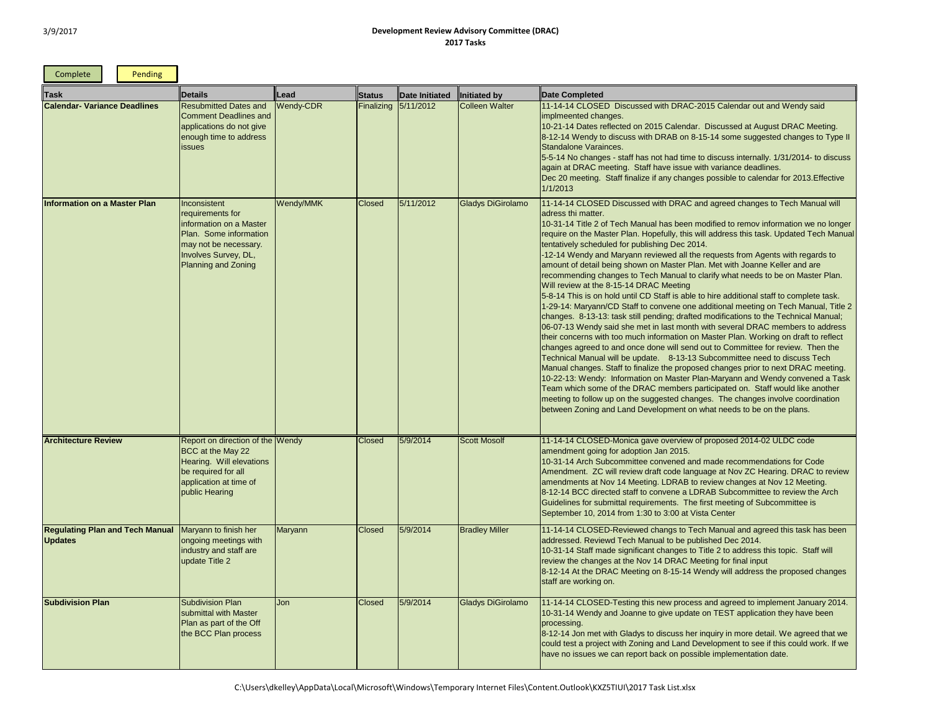| Complete                                                 | Pending |                                                                                                                                                                      |                  |               |                      |                          |                                                                                                                                                                                                                                                                                                                                                                                                                                                                                                                                                                                                                                                                                                                                                                                                                                                                                                                                                                                                                                                                                                                                                                             |
|----------------------------------------------------------|---------|----------------------------------------------------------------------------------------------------------------------------------------------------------------------|------------------|---------------|----------------------|--------------------------|-----------------------------------------------------------------------------------------------------------------------------------------------------------------------------------------------------------------------------------------------------------------------------------------------------------------------------------------------------------------------------------------------------------------------------------------------------------------------------------------------------------------------------------------------------------------------------------------------------------------------------------------------------------------------------------------------------------------------------------------------------------------------------------------------------------------------------------------------------------------------------------------------------------------------------------------------------------------------------------------------------------------------------------------------------------------------------------------------------------------------------------------------------------------------------|
| Task                                                     |         | <b>Details</b>                                                                                                                                                       | Lead             | <b>Status</b> | Date Initiated       | Initiated by             | Date Completed                                                                                                                                                                                                                                                                                                                                                                                                                                                                                                                                                                                                                                                                                                                                                                                                                                                                                                                                                                                                                                                                                                                                                              |
| <b>Calendar- Variance Deadlines</b>                      |         | <b>Resubmitted Dates and</b><br><b>Comment Deadlines and</b><br>applications do not give<br>enough time to address<br><i>issues</i>                                  | <b>Wendy-CDR</b> |               | Finalizing 5/11/2012 | <b>Colleen Walter</b>    | 11-14-14 CLOSED Discussed with DRAC-2015 Calene<br>implmeented changes.<br>10-21-14 Dates reflected on 2015 Calendar. Discussed<br>8-12-14 Wendy to discuss with DRAB on 8-15-14 some<br>Standalone Varainces.<br>5-5-14 No changes - staff has not had time to discuss in<br>again at DRAC meeting. Staff have issue with variance<br>Dec 20 meeting. Staff finalize if any changes possible<br>1/1/2013                                                                                                                                                                                                                                                                                                                                                                                                                                                                                                                                                                                                                                                                                                                                                                   |
| <b>Information on a Master Plan</b>                      |         | Inconsistent<br>requirements for<br>information on a Master<br>Plan. Some information<br>may not be necessary.<br>Involves Survey, DL,<br><b>Planning and Zoning</b> | Wendy/MMK        | <b>Closed</b> | 5/11/2012            | <b>Gladys DiGirolamo</b> | 11-14-14 CLOSED Discussed with DRAC and agreed of<br>adress thi matter.<br>10-31-14 Title 2 of Tech Manual has been modified to r<br>require on the Master Plan. Hopefully, this will address<br>tentatively scheduled for publishing Dec 2014.<br>-12-14 Wendy and Maryann reviewed all the requests f<br>amount of detail being shown on Master Plan. Met with<br>recommending changes to Tech Manual to clarify what<br>Will review at the 8-15-14 DRAC Meeting<br>5-8-14 This is on hold until CD Staff is able to hire addit<br>1-29-14: Maryann/CD Staff to convene one additional n<br>changes. 8-13-13: task still pending; drafted modification<br>06-07-13 Wendy said she met in last month with severa<br>their concerns with too much information on Master Pla<br>changes agreed to and once done will send out to Com<br>Technical Manual will be update. 8-13-13 Subcommit<br>Manual changes. Staff to finalize the proposed changes<br>10-22-13: Wendy: Information on Master Plan-Maryanr<br>Team which some of the DRAC members participated<br>meeting to follow up on the suggested changes. The c<br>between Zoning and Land Development on what needs |
| <b>Architecture Review</b>                               |         | Report on direction of the IWendy<br>BCC at the May 22<br>Hearing. Will elevations<br>be required for all<br>application at time of<br>public Hearing                |                  | <b>Closed</b> | 5/9/2014             | Scott Mosolf             | 11-14-14 CLOSED-Monica gave overview of proposed<br>amendment going for adoption Jan 2015.<br>10-31-14 Arch Subcommittee convened and made reco<br>Amendment. ZC will review draft code language at Nov<br>amendments at Nov 14 Meeting. LDRAB to review cha<br>8-12-14 BCC directed staff to convene a LDRAB Subco<br>Guidelines for submittal requirements. The first meetin<br>September 10, 2014 from 1:30 to 3:00 at Vista Center                                                                                                                                                                                                                                                                                                                                                                                                                                                                                                                                                                                                                                                                                                                                      |
| <b>Regulating Plan and Tech Manual</b><br><b>Updates</b> |         | Maryann to finish her<br>ongoing meetings with<br>industry and staff are<br>update Title 2                                                                           | Maryann          | <b>Closed</b> | 5/9/2014             | <b>Bradley Miller</b>    | 11-14-14 CLOSED-Reviewed changs to Tech Manual a<br>addressed. Reviewd Tech Manual to be published Dec<br>10-31-14 Staff made significant changes to Title 2 to ac<br>review the changes at the Nov 14 DRAC Meeting for fir<br>8-12-14 At the DRAC Meeting on 8-15-14 Wendy will a<br>staff are working on.                                                                                                                                                                                                                                                                                                                                                                                                                                                                                                                                                                                                                                                                                                                                                                                                                                                                 |
| <b>Subdivision Plan</b>                                  |         | <b>Subdivision Plan</b><br>submittal with Master<br>Plan as part of the Off<br>the BCC Plan process                                                                  | Jon              | <b>Closed</b> | 5/9/2014             | <b>Gladys DiGirolamo</b> | 11-14-14 CLOSED-Testing this new process and agree<br>10-31-14 Wendy and Joanne to give update on TEST a<br>processing.<br>8-12-14 Jon met with Gladys to discuss her inquiry in m<br>could test a project with Zoning and Land Development<br>have no issues we can report back on possible implem                                                                                                                                                                                                                                                                                                                                                                                                                                                                                                                                                                                                                                                                                                                                                                                                                                                                         |

dar out and Wendy said d at August DRAC Meeting. **B** suggested changes to Type II nternally. 1/31/2014- to discuss a deadlines. to calendar for 2013.Effective

changes to Tech Manual will

remov information we no longer this task. Updated Tech Manual

rom Agents with regards to Joanne Keller and are needs to be on Master Plan.

tional staff to complete task. meeting on Tech Manual, Title 2 ions to the Technical Manual; al DRAC members to address an. Working on draft to reflect nmittee for review. Then the ttee need to discuss Tech s prior to next DRAC meeting. n and Wendy convened a Task on. Staff would like another hanges involve coordination be on the plans.

## 12014-02 ULDC code

ommendations for Code W ZC Hearing. DRAC to review anges at Nov 12 Meeting. ommittee to review the Arch ng of Subcommittee is

and agreed this task has been  $2014.$ 

ddress this topic. Staff will nal input

address the proposed changes

ed to implement January 2014. application they have been

ore detail. We agreed that we to see if this could work. If we entation date.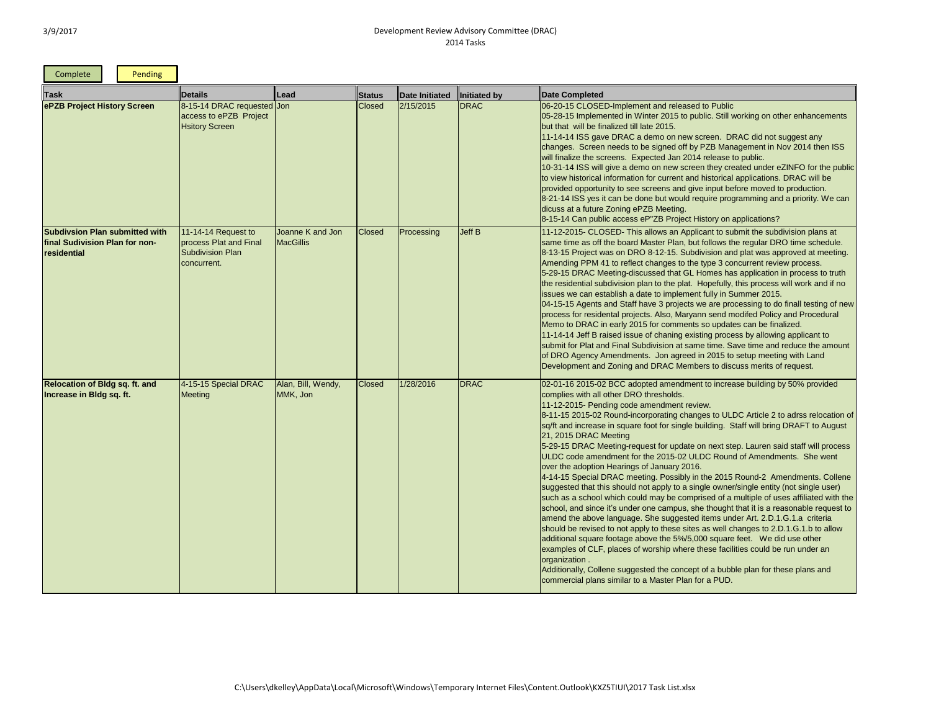and the control of

 $\blacksquare$ 

| Complete                                                                               | Pending |                                                                                           |                                      |               |                |              |                                                                                                                                                                                                                                                                                                                                                                                                                                                                                                                                                                                                                                                                                                                                                                                                                                                                                                                                                                                                                                                            |
|----------------------------------------------------------------------------------------|---------|-------------------------------------------------------------------------------------------|--------------------------------------|---------------|----------------|--------------|------------------------------------------------------------------------------------------------------------------------------------------------------------------------------------------------------------------------------------------------------------------------------------------------------------------------------------------------------------------------------------------------------------------------------------------------------------------------------------------------------------------------------------------------------------------------------------------------------------------------------------------------------------------------------------------------------------------------------------------------------------------------------------------------------------------------------------------------------------------------------------------------------------------------------------------------------------------------------------------------------------------------------------------------------------|
| <b>Task</b>                                                                            |         | <b>Details</b>                                                                            | Lead                                 | Status        | Date Initiated | Initiated by | Date Completed                                                                                                                                                                                                                                                                                                                                                                                                                                                                                                                                                                                                                                                                                                                                                                                                                                                                                                                                                                                                                                             |
| ePZB Project History Screen                                                            |         | 8-15-14 DRAC requested Jon<br>access to ePZB Project<br><b>Hsitory Screen</b>             |                                      | <b>Closed</b> | 2/15/2015      | <b>DRAC</b>  | 06-20-15 CLOSED-Implement and released to Public<br>05-28-15 Implemented in Winter 2015 to public. Still we<br>but that will be finalized till late 2015.<br>11-14-14 ISS gave DRAC a demo on new screen. DR<br>changes. Screen needs to be signed off by PZB Mana<br>will finalize the screens. Expected Jan 2014 release to<br>10-31-14 ISS will give a demo on new screen they crea<br>to view historical information for current and historical a<br>provided opportunity to see screens and give input before<br>8-21-14 ISS yes it can be done but would require progress<br>dicuss at a future Zoning ePZB Meeting.<br>8-15-14 Can public access eP"ZB Project History on a                                                                                                                                                                                                                                                                                                                                                                         |
| <b>Subdivsion Plan submitted with</b><br>final Sudivision Plan for non-<br>residential |         | $11-14-14$ Request to<br>process Plat and Final<br><b>Subdivision Plan</b><br>concurrent. | Joanne K and Jon<br><b>MacGillis</b> | <b>Closed</b> | Processing     | Jeff B       | 11-12-2015- CLOSED- This allows an Applicant to sub<br>same time as off the board Master Plan, but follows the<br>8-13-15 Project was on DRO 8-12-15. Subdivision and<br>Amending PPM 41 to reflect changes to the type 3 con<br>5-29-15 DRAC Meeting-discussed that GL Homes has<br>the residential subdivision plan to the plat. Hopefully, t<br>issues we can establish a date to implement fully in Su<br>04-15-15 Agents and Staff have 3 projects we are proc<br>process for residental projects. Also, Maryann send mo<br>Memo to DRAC in early 2015 for comments so update<br>11-14-14 Jeff B raised issue of chaning existing proces<br>submit for Plat and Final Subdivision at same time. Sat<br>of DRO Agency Amendments. Jon agreed in 2015 to a<br>Development and Zoning and DRAC Members to discu                                                                                                                                                                                                                                          |
| <b>Relocation of Bldg sq. ft. and</b><br>Increase in Bldg sq. ft.                      |         | 4-15-15 Special DRAC<br><b>Meeting</b>                                                    | Alan, Bill, Wendy,<br>MMK, Jon       | <b>Closed</b> | 1/28/2016      | <b>DRAC</b>  | 02-01-16 2015-02 BCC adopted amendment to increas<br>complies with all other DRO thresholds.<br>11-12-2015- Pending code amendment review.<br>8-11-15 2015-02 Round-incorporating changes to ULD<br>sq/ft and increase in square foot for single building. St<br>21, 2015 DRAC Meeting<br>5-29-15 DRAC Meeting-request for update on next step<br>ULDC code amendment for the 2015-02 ULDC Round<br>over the adoption Hearings of January 2016.<br>4-14-15 Special DRAC meeting. Possibly in the 2015 F<br>suggested that this should not apply to a single owner/<br>such as a school which could may be comprised of a n<br>school, and since it's under one campus, she thought t<br>amend the above language. She suggested items unde<br>should be revised to not apply to these sites as well ch<br>additional square footage above the 5%/5,000 square<br>examples of CLF, places of worship where these facilit<br>organization.<br>Additionally, Collene suggested the concept of a bubbl<br>commercial plans similar to a Master Plan for a PUD. |

## orking on other enhancements AC did not suggest any gement in Nov 2014 then ISS public. ated under eZINFO for the public applications. DRAC will be ore moved to production. ramming and a priority. We can pplications? omit the subdivision plans at s regular DRO time schedule. I plat was approved at meeting. **Acurrent review process.** application in process to truth this process will work and if no immer 2015. cessing to do finall testing of new pdifed Policy and Procedural s can be finalized. 11-14 septicant to ve time and reduce the amount setup meeting with Land uss merits of request. Se building by 50% provided **C** Article 2 to adrss relocation of aff will bring DRAFT to August p. Lauren said staff will process of Amendments. She went Round-2 Amendments. Collene single entity (not single user) nultiple of uses affiliated with the

that it is a reasonable request to er Art. 2.D.1.G.1.a criteria anges to 2.D.1.G.1.b to allow feet. We did use other ties could be run under an

e plan for these plans and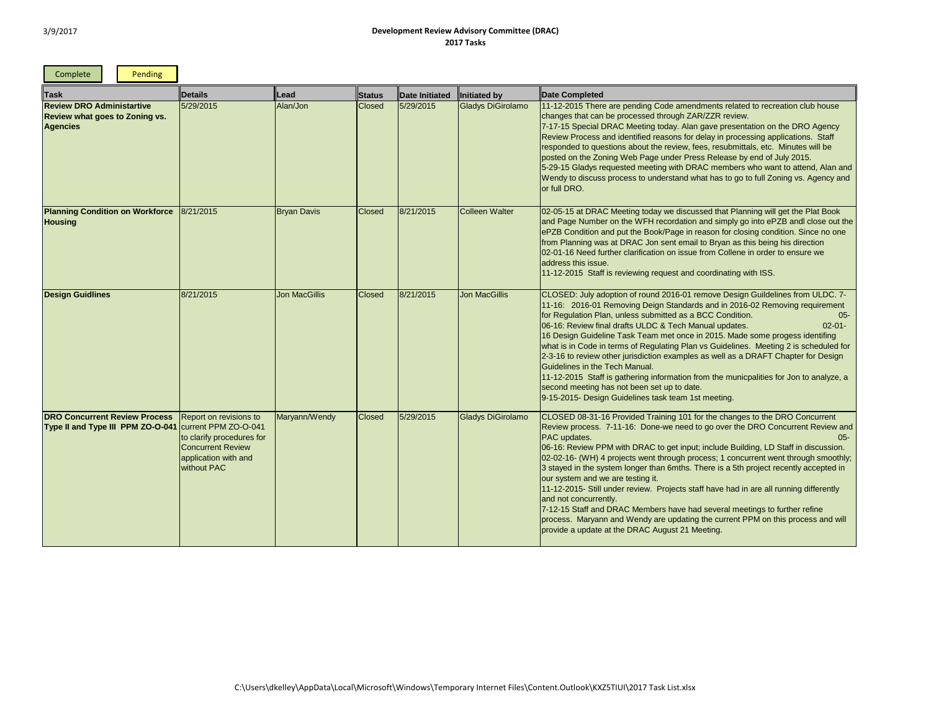г

<u>and the contract of the contract of the contract of the contract of the contract of the contract of the contract of the contract of the contract of the contract of the contract of the contract of the contract of the contr</u>

٦

| Complete                                                                                     | Pending |                                                                                                                                                                                  |                      |               |                |                          |                                                                                                                                                                                                                                                                                                                                                                                                                                                                                                                                                                                                                                                                                                                                                                                                                                             |
|----------------------------------------------------------------------------------------------|---------|----------------------------------------------------------------------------------------------------------------------------------------------------------------------------------|----------------------|---------------|----------------|--------------------------|---------------------------------------------------------------------------------------------------------------------------------------------------------------------------------------------------------------------------------------------------------------------------------------------------------------------------------------------------------------------------------------------------------------------------------------------------------------------------------------------------------------------------------------------------------------------------------------------------------------------------------------------------------------------------------------------------------------------------------------------------------------------------------------------------------------------------------------------|
| <b>Task</b>                                                                                  |         | <b>Details</b>                                                                                                                                                                   | Lead                 | Status        | Date Initiated | Initiated by             | <b>Date Completed</b>                                                                                                                                                                                                                                                                                                                                                                                                                                                                                                                                                                                                                                                                                                                                                                                                                       |
| <b>Review DRO Administartive</b><br><b>Review what goes to Zoning vs.</b><br><b>Agencies</b> |         | 5/29/2015                                                                                                                                                                        | Alan/Jon             | <b>Closed</b> | 5/29/2015      | <b>Gladys DiGirolamo</b> | 11-12-2015 There are pending Code amendments related to recreation club house<br>changes that can be processed through ZAR/ZZR review.<br>7-17-15 Special DRAC Meeting today. Alan gave presentation on the DRO Agency<br>Review Process and identified reasons for delay in processing applications. Staff<br>responded to questions about the review, fees, resubmittals, etc. Minutes will be<br>posted on the Zoning Web Page under Press Release by end of July 2015.<br>5-29-15 Gladys requested meeting with DRAC members who want to attend, Alan and<br>Wendy to discuss process to understand what has to go to full Zoning vs. Agency and<br>or full DRO.                                                                                                                                                                        |
| <b>Planning Condition on Workforce</b><br><b>Housing</b>                                     |         | 8/21/2015                                                                                                                                                                        | <b>Bryan Davis</b>   | <b>Closed</b> | 8/21/2015      | <b>Colleen Walter</b>    | 02-05-15 at DRAC Meeting today we discussed that Planning will get the Plat Book<br>and Page Number on the WFH recordation and simply go into ePZB andl close out the<br>ePZB Condition and put the Book/Page in reason for closing condition. Since no one<br>from Planning was at DRAC Jon sent email to Bryan as this being his direction<br>02-01-16 Need further clarification on issue from Collene in order to ensure we<br>address this issue.<br>11-12-2015 Staff is reviewing request and coordinating with ISS.                                                                                                                                                                                                                                                                                                                  |
| <b>Design Guidlines</b>                                                                      |         | 8/21/2015                                                                                                                                                                        | <b>Jon MacGillis</b> | <b>Closed</b> | 8/21/2015      | <b>Jon MacGillis</b>     | CLOSED: July adoption of round 2016-01 remove Design Guildelines from ULDC. 7-<br>11-16: 2016-01 Removing Deign Standards and in 2016-02 Removing requirement<br>for Regulation Plan, unless submitted as a BCC Condition.<br>$05 -$<br>06-16: Review final drafts ULDC & Tech Manual updates.<br>$02 - 01 -$<br>16 Design Guideline Task Team met once in 2015. Made some progess identifing<br>what is in Code in terms of Regulating Plan vs Guidelines. Meeting 2 is scheduled for<br>2-3-16 to review other jurisdiction examples as well as a DRAFT Chapter for Design<br>Guidelines in the Tech Manual.<br>11-12-2015 Staff is gathering information from the municpalities for Jon to analyze, a<br>second meeting has not been set up to date.<br>9-15-2015- Design Guidelines task team 1st meeting.                              |
| <b>DRO Concurrent Review Process</b>                                                         |         | Report on revisions to<br>Type II and Type III PPM ZO-O-041 Current PPM ZO-O-041<br>to clarify procedures for<br><b>Concurrent Review</b><br>application with and<br>without PAC | Maryann/Wendy        | <b>Closed</b> | 5/29/2015      | Gladys DiGirolamo        | CLOSED 08-31-16 Provided Training 101 for the changes to the DRO Concurrent<br>Review process. 7-11-16: Done-we need to go over the DRO Concurrent Review and<br>PAC updates.<br>$05 -$<br>06-16: Review PPM with DRAC to get input; include Building, LD Staff in discussion.<br>02-02-16- (WH) 4 projects went through process; 1 concurrent went through smoothly;<br>3 stayed in the system longer than 6mths. There is a 5th project recently accepted in<br>our system and we are testing it.<br>11-12-2015- Still under review. Projects staff have had in are all running differently<br>and not concurrently.<br>7-12-15 Staff and DRAC Members have had several meetings to further refine<br>process. Maryann and Wendy are updating the current PPM on this process and will<br>provide a update at the DRAC August 21 Meeting. |